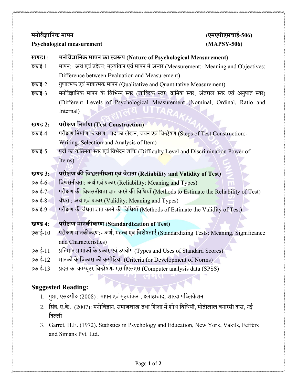#### **Psychological measurement** (**MAPSY-506)**

# **मनोवैज्ञाननक मापन** (**एमएपीएसवाई-506)**

#### **खण्ड1: मनोवैज्ञाननक मापन का स्वरूप** (**Nature of Psychological Measurement)**

- इकाई-1 मापन:- अर्थएवंउद्दश्ेय; मलूयांकन एवंमापन में अन्तर (Measurement:- Meaning and Objectives; Difference between Evaluation and Measurement**)**
- इकाई-2 गणुात्मक एवंमात्रात्मक मापन (Qualitative and Quantitative Measurement)
- इकाई-3 मनोवैज्ञानिक मापन के विभिन्न स्तर (शाब्दिक स्तर, क्रमिक स्तर, अंतराल स्तर एवं अनुपात स्तर) (Different Levels of Psychological Measurement (Nominal, Ordinal, Ratio and Internal)

## **खण्ड 2: परीक्षण ननमााण** (**Test Construction)**

- इकाई-4 परीक्षण निर्माण के चरण:- पद का लेखन, चयन एवं विश्लेषण (Steps of Test Construction:-Writing, Selection and Analysis of Item)
- इकाई-5 पदों का कठिनता स्तर एवं विभेदन शक्ति (Difficulty Level and Discrimination Power of Items)

#### **खण्ड 3: परीक्षण की नवश्वसनीयता एवंवैद्यता** (**Reliability and Validity of Test)**

- इकाई-6 विश्वसनीयता: अर्थ एवं प्रकार (Reliability: Meaning and Types)
- इकाई-7 परीक्षण की विश्वसनीयता ज्ञात करने की विधियाँ (Methods to Estimate the Reliability of Test)
- इकाई-8 वैधता: अर्थ एवं प्रकार (Validity: Meaning and Types)
- इकाई-9 परीक्षण की वैधता ज्ञात करने की विधियाँ (Methods of Estimate the Validity of Test)

### **खण्ड 4**: **परीक्षण मानकीकरण** (**Standardization of Test)**

- इकाई-10 परीक्षण मानकीकरण:- अर्थ, महत्व एवं विशेषताएँ (Standardizing Tests: Meaning, Significance and Characteristics)
- इकाई-11 प्रनतमान प्राप्ांकों केप्रकार एवंउपयोग (Types and Uses of Standard Scores)
- इकाई-12 मानकों के विकास की कसौटियाँ (Criteria for Development of Norms)
- इकाई-13 प्रित्त का कम्प्यिूर नवश्लेषण- एसपीएसएस (Computer analysis data (SPSS)

#### **Suggested Reading:**

- 1. गुप्ता, एस०पी० (2008) : मापन एवं मूल्यांकन , इलाहाबाद, शारदा पब्लिकेशन
- 2. सिंह, ए.के. (2007): मनोविज्ञान, समाजशास्त्र तथा शिक्षा में शोध विधियॉ, मोतीलाल बनारसी दास, नई निलली
- 3. Garret, H.E. (1972). Statistics in Psychology and Education, New York, Vakils, Feffers and Simans Pvt. Ltd.